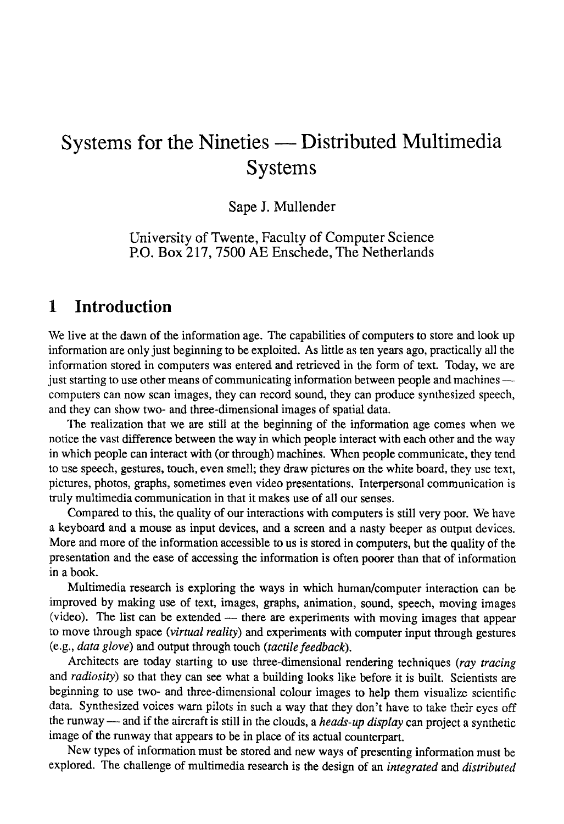# Systems for the Nineties — Distributed Multimedia **Systems**

Sape J. Mullender

University of Twente, Faculty of Computer Science P.O. Box 217, 7500 AE Enschede, The Netherlands

### **1 Introduction**

We live at the dawn of the information age. The capabilities of computers to store and look up information are only just beginning to be exploited. As little as ten years ago, practically all the information stored in computers was entered and retrieved in the form of text. Today, we are just starting to use other means of communicating information between people and machines -computers can now scan images, they can record sound, they can produce synthesized speech, and they can show two- and three-dimensional images of spatial data.

The realization that we are still at the beginning of the information age comes when we notice the vast difference between the way in which people interact with each other and the way in which people can interact with (or through) machines. When people communicate, they tend to use speech, gestures, touch, even smell; they draw pictures on the white board, they use text, pictures, photos, graphs, sometimes even video presentations. Interpersonal communication is truly multimedia communication in that it makes use of all our senses.

Compared to this, the quality of our interactions with computers is still very poor. We have a keyboard and a mouse as input devices, and a screen and a nasty beeper as output devices. More and more of the information accessible to us is stored in computers, but the quality of the presentation and the ease of accessing the information is often poorer than that of information in a book.

Multimedia research is exploring the ways in which human/computer interaction can be improved by making use of text, images, graphs, animation, sound, speech, moving images (video). The list can be extended - there are experiments with moving images that appear to move through space *(virtual reality)* and experiments with computer input through gestures (e.g., *data glove)* and output through touch *(tactile feedback).* 

Architects are today starting to use three-dimensional rendering techniques *(ray tracing and radiosity)* so that they can see what a building looks like before it is built. Scientists are beginning to use two- and three-dimensional colour images to help them visualize scientific data. Synthesized voices warn pilots in such a way that they don't have to take their eyes off the runway -- and if the aircraft is still in the clouds, a *heads-up display* can project a synthetic image of the runway that appears to be in place of its actual counterpart.

New types of information must be stored and new ways of presenting information must be explored. The challenge of multimedia research is the design of an *integrated and distributed*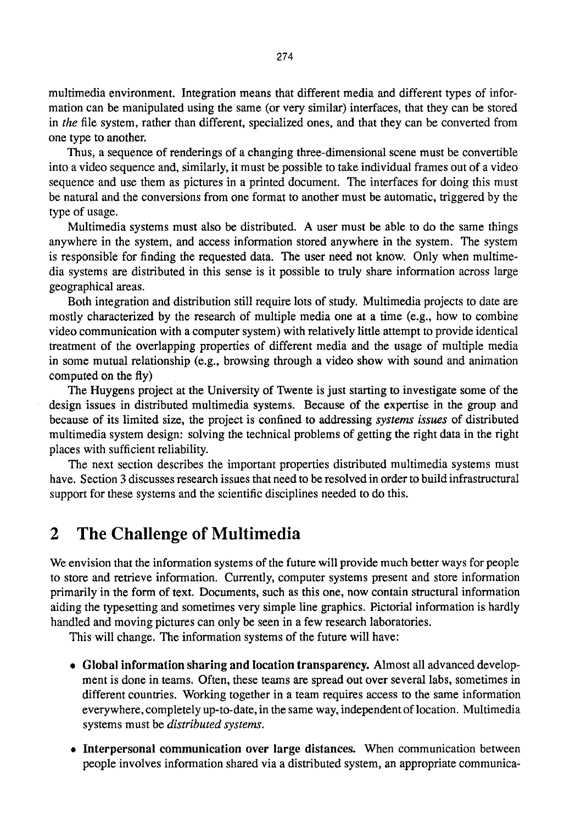multimedia environment. Integration means that different media and different types of information can be manipulated using the same (or very similar) interfaces, that they can be stored in *the* file system, rather than different, specialized ones, and that they can be converted from one type to another.

Thus, a sequence of renderings of a changing three-dimensional scene must be convertible into a video sequence and, similarly, it must be possible to take individual frames out of a video sequence and use them as pictures in a printed document. The interfaces for doing this must be natural and the conversions from one format to another must be automatic, triggered by the type of usage.

Multimedia systems must also be distributed. A user must be able to do the same things anywhere in the system, and access information stored anywhere in the system. The system is responsible for finding the requested data. The user need not know. Only when multimedia systems are distributed in this sense is it possible to truly share information across large geographical areas.

Both integration and distribution still require lots of study. Multimedia projects to date are mostly characterized by the research of multiple media one at a time (e.g., how to combine video communication with a computer system) with relatively little attempt to provide identical treatment of the overlapping properties of different media and the usage of multiple media in some mutual relationship (e.g., browsing through a video show with sound and animation computed on the fly)

The Huygens project at the University of Twente is just starting to investigate some of the design issues in distributed multimedia systems. Because of the expertise in the group and because of its limited size, the project is confined to addressing *systems issues* of distributed multimedia system design: solving the technical problems of getting the right data in the right places with sufficient reliability.

The next section describes the important properties distributed multimedia systems must have. Section 3 discusses research issues that need to be resolved in order to build infrastructural support for these systems and the scientific disciplines needed to do this.

# **2 The Challenge of Multimedia**

We envision that the information systems of the future will provide much better ways for people to store and retrieve information. Currently, computer systems present and store information primarily in the form of text. Documents, such as this one, now contain structural information aiding the typesetting and sometimes very simple line graphics. Pictorial information is hardly handled and moving pictures can only be seen in a few research laboratories.

This will change. The information systems of the future will have:

- **Global information sharing and location transparency.** Almost all advanced development is done in teams. Often, these teams are spread out over several labs, sometimes in different countries. Working together in a team requires access to the same information everywhere, completely up-to-date, in the same way, independent of location. Multimedia systems must be *distributed systems.*
- **Interpersonal communication** over large distances. When communication between people involves information shared via a distributed system, an appropriate communica-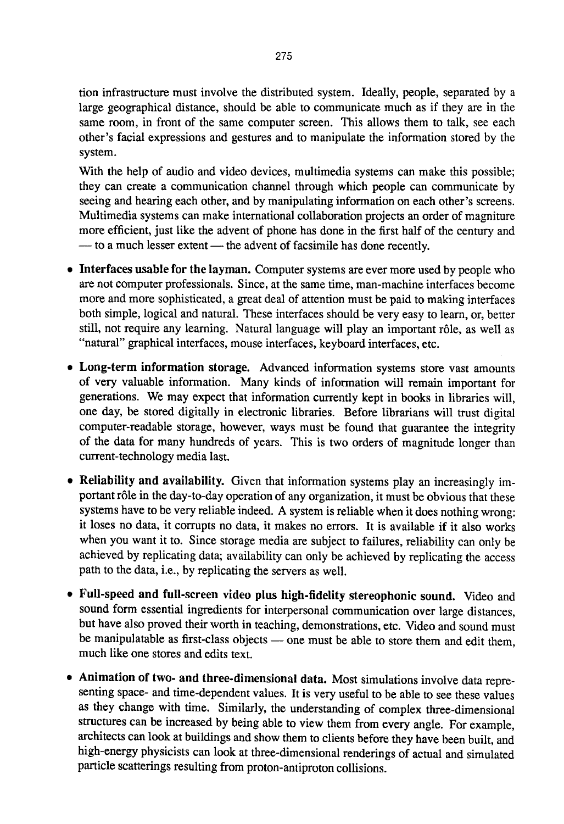tion infrastructure must involve the distributed system. Ideally, people, separated by a large geographical distance, should be able to communicate much as if they are in the same room, in front of the same computer screen. This allows them to talk, see each other's facial expressions and gestures and to manipulate the information stored by the system.

With the help of audio and video devices, multimedia systems can make this possible; they can create a communication channel through which people can communicate by seeing and hearing each other, and by manipulating information on each other's screens. Multimedia systems can make international collaboration projects an order of magniture more efficient, just like the advent of phone has done in the first half of the century and  $-$  to a much lesser extent  $-$  the advent of facsimile has done recently.

- 9 Interfaces usable for the layman. Computer systems are ever more used by people who are not computer professionals. Since, at the same time, man-machine interfaces become more and more sophisticated, a great deal of attention must be paid to making interfaces both simple, logical and natural. These interfaces should be very easy to learn, or, better still, not require any learning. Natural language will play an important r61e, as well as "natural" graphical interfaces, mouse interfaces, keyboard interfaces, etc.
- **<sup>9</sup>**Long-term information storage. Advanced information systems store vast amounts of very valuable information. Many kinds of information will remain important for generations. We may expect that information currently kept in books in libraries will, one day, be stored digitally in electronic libraries. Before librarians will trust digital computer-readable storage, however, ways must be found that guarantee the integrity of the data for many hundreds of years. This is two orders of magnitude longer than current-technology media last.
- Reliability and availability. Given that information systems play an increasingly important r61e in the day-to-day operation of any organization, it must be obvious that these systems have to be very reliable indeed. A system is reliable when it does nothing wrong: it loses no data, it corrupts no data, it makes no errors. It is available if it also works when you want it to. Since storage media are subject to failures, reliability can only be achieved by replicating data; availability can only be achieved by replicating the access path to the data, i.e., by replicating the servers as well.
- **<sup>9</sup>**Full-speed and full-screen video plus high-fidelity stereophonic sound. Video and sound form essential ingredients for interpersonal communication over large distances, but have also proved their worth in teaching, demonstrations, etc. Video and sound must be manipulatable as first-class objects - one must be able to store them and edit them, much like one stores and edits text.
- 9 Animation of two- and three-dimensional data. Most simulations involve data representing space- and time-dependent values. It is very useful to be able to see these values as they change with time. Similarly, the understanding of complex three-dimensional structures can be increased by being able to view them from every angle. For example, architects can look at buildings and show them to clients before they have been built, and high-energy physicists can look at three-dimensional renderings of actual and simulated particle scatterings resulting from proton-antiproton collisions.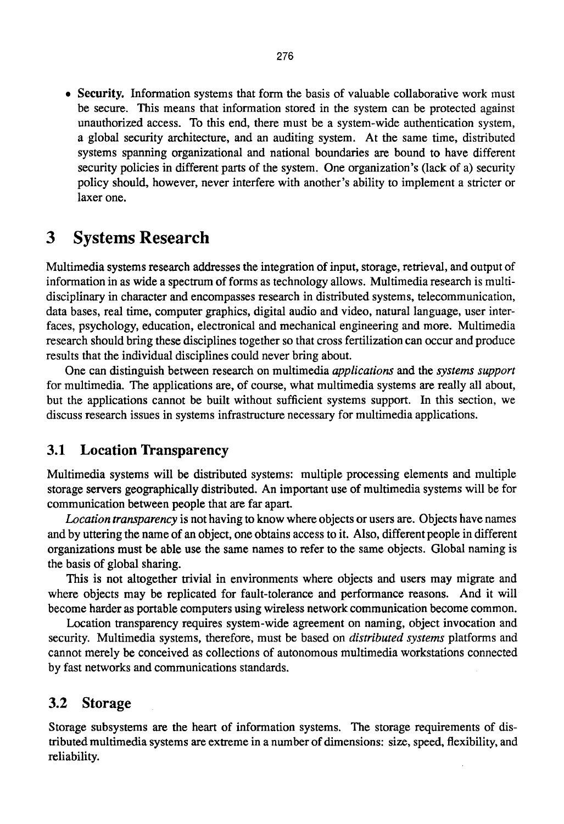• Security. Information systems that form the basis of valuable collaborative work must be secure. This means that information stored in the system can be protected against unauthorized access. To this end, there must be a system-wide authentication system, a global security architecture, and an auditing system. At the same time, distributed systems spanning organizational and national boundaries are bound to have different security policies in different parts of the system. One organization's (lack of a) security policy should, however, never interfere with another's ability to implement a stricter or laxer one.

# **3 Systems Research**

Multimedia systems research addresses the integration of input, storage, retrieval, and output of information in as wide a spectrum of forms as technology allows. Multimedia research is multidisciplinary in character and encompasses research in distributed systems, telecommunication, data bases, real time, computer graphics, digital audio and video, natural language, user interfaces, psychology, education, electronical and mechanical engineering and more. Multimedia research should bring these disciplines together so that cross fertilization can occur and produce results that the individual disciplines could never bring about.

One can distinguish between research on multimedia *applications* and the *systems support*  for multimedia. The applications are, of course, what multimedia systems are really all about, but the applications cannot be built without sufficient systems support. In this section, we discuss research issues in systems infrastructure necessary for multimedia applications.

#### **3.1 Location Transparency**

Multimedia systems will be distributed systems: multiple processing elements and multiple storage servers geographically distributed. An important use of multimedia systems will be for communication between people that are far apart.

*Location transparency* is not having to know where objects or users are. Objects have names and by uttering the name of an object, one obtains access to it. Also, different people in different organizations must be able use the same names to refer to the same objects. Global naming is the basis of global sharing.

This is not altogether trivial in environments where objects and users may migrate and where objects may be replicated for fault-tolerance and performance reasons. And it will become harder as portable computers using wireless network communication become common.

Location transparency requires system-wide agreement on naming, object invocation and security. Multimedia systems, therefore, must be based on *distributed systems* platforms and cannot merely be conceived as collections of autonomous multimedia workstations connected by fast networks and communications standards.

#### **3.2 Storage**

Storage subsystems are the heart of information systems. The storage requirements of distributed multimedia systems are extreme in a number of dimensions: size, speed, flexibility, and reliability.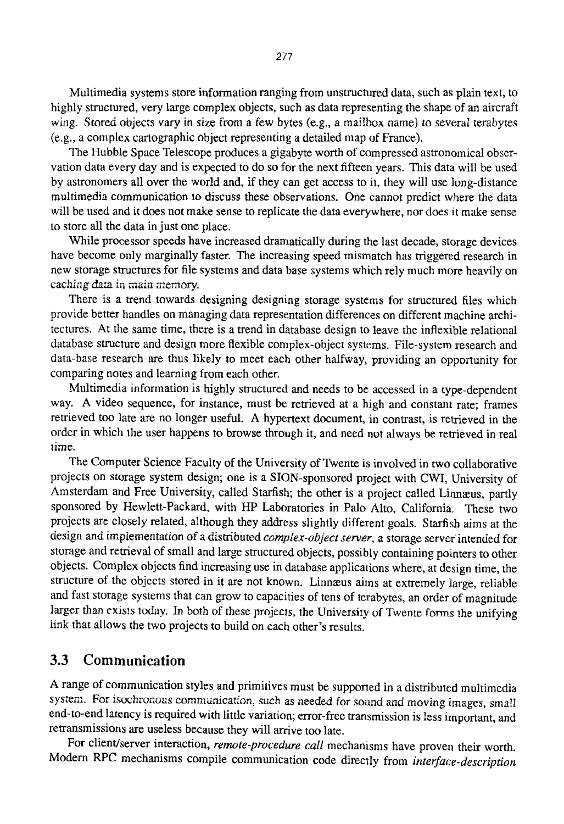Multimedia systems store information ranging from unstructured data, such as plain text, to highly structured, very large complex objects, such as data representing the shape of an aircraft wing. Stored objects vary in size from a few bytes (e.g., a mailbox name) to several terabytes (e.g., a complex cartographic object representing a detailed map of France).

The Hubble Space Telescope produces a gigabyte worth of compressed astronomical observation data every day and is expected to do so for the next fifteen years. This data will be used by astronomers all over the world and, if they can get access to it, they will use long-distance multimedia communication to discuss these observations. One cannot predict where the data will be used and it does not make sense to replicate the data everywhere, nor does it make sense to store all the data in just one place.

While processor speeds have increased dramatically during the last decade, storage devices have become only marginally faster. The increasing speed mismatch has triggered research in new storage structures for file systems and data base systems which rely much more heavily on caching data in main memory.

There is a trend towards designing designing storage systems for structured files which provide better handles on managing data representation differences on different machine architectures. At the same time, there is a trend in database design to leave the inflexible relational database structure and design more flexible complex-object systems. File-system research and data-base research are thus likely to meet each other halfway, providing an opportunity for comparing notes and learning from each other.

Multimedia information is highly structured and needs to be accessed in a type-dependent way. A video sequence, for instance, must be retrieved at a high and constant rate; frames retrieved too late are no longer useful. A hypertext document, in contrast, is retrieved in the order in which the user happens to browse through it, and need not always be retrieved in real time.

The Computer Science Faculty of the University of Twente is involved in two collaborative projects on storage system design; one is a SION-sponsored project with CWI, University of Amsterdam and Free University, called Starfish; the other is a project called Linnæus, partly sponsored by Hewlett-Packard, with HP Laboratories in Palo Alto, California. These two projects are closely related, although they address slightly different goals. Starfish aims at the design and implementation of a distributed *complex-object server,* a storage server intended for storage and retrieval of small and large structured objects, possibly containing pointers to other objects. Complex objects find increasing use in database applications where, at design time, the structure of the objects stored in it are not known. Linnæus aims at extremely large, reliable and fast storage systems that can grow to capacities of tens of terabytes, an order of magnitude larger than exists today. In both of these projects, lhe University of Twente forms the unifying link that allows the two projects to build on each other's results.

#### **3.3 Communication**

A range of communication styles and primitives must be supported in a distributed multimedia system. For isochronoas *communication,* such as needed for sound and moving images, small end-to-end latency is required with little variation; error-free transmission is less important, and retransmissions are useless because they will arrive too late.

For client/server interaction, *remote-procedure call* mechanisms have proven their worth. Modern RPC mechanisms compile communication code directly from *interface-description*